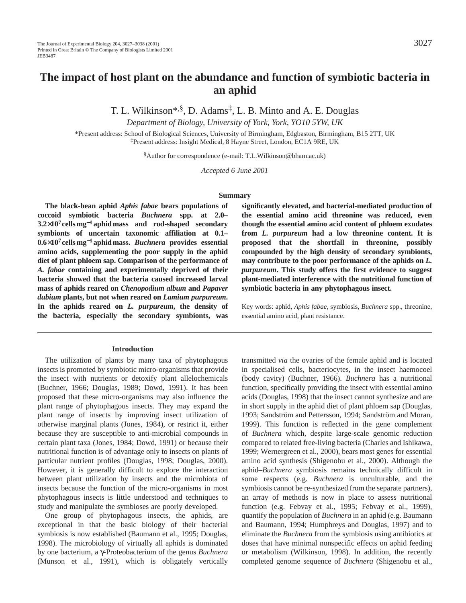T. L. Wilkinson\*,§, D. Adams‡, L. B. Minto and A. E. Douglas

*Department of Biology, University of York, York, YO10 5YW, UK*

\*Present address: School of Biological Sciences, University of Birmingham, Edgbaston, Birmingham, B15 2TT, UK ‡Present address: Insight Medical, 8 Hayne Street, London, EC1A 9RE, UK

§Author for correspondence (e-mail: T.L.Wilkinson@bham.ac.uk)

*Accepted 6 June 2001* 

#### **Summary**

**The black-bean aphid** *Aphis fabae* **bears populations of coccoid symbiotic bacteria** *Buchnera* **spp. at 2.0– 3.2**×**107 cells mg**−**<sup>1</sup> aphid mass and rod-shaped secondary symbionts of uncertain taxonomic affiliation at 0.1– 0.6**×**107 cells mg**−**<sup>1</sup> aphid mass.** *Buchnera* **provides essential amino acids, supplementing the poor supply in the aphid diet of plant phloem sap. Comparison of the performance of** *A. fabae* **containing and experimentally deprived of their bacteria showed that the bacteria caused increased larval mass of aphids reared on** *Chenopodium album* **and** *Papaver dubium* **plants, but not when reared on** *Lamium purpureum***. In the aphids reared on** *L. purpureum***, the density of the bacteria, especially the secondary symbionts, was**

#### **Introduction**

The utilization of plants by many taxa of phytophagous insects is promoted by symbiotic micro-organisms that provide the insect with nutrients or detoxify plant allelochemicals (Buchner, 1966; Douglas, 1989; Dowd, 1991). It has been proposed that these micro-organisms may also influence the plant range of phytophagous insects. They may expand the plant range of insects by improving insect utilization of otherwise marginal plants (Jones, 1984), or restrict it, either because they are susceptible to anti-microbial compounds in certain plant taxa (Jones, 1984; Dowd, 1991) or because their nutritional function is of advantage only to insects on plants of particular nutrient profiles (Douglas, 1998; Douglas, 2000). However, it is generally difficult to explore the interaction between plant utilization by insects and the microbiota of insects because the function of the micro-organisms in most phytophagous insects is little understood and techniques to study and manipulate the symbioses are poorly developed.

One group of phytophagous insects, the aphids, are exceptional in that the basic biology of their bacterial symbiosis is now established (Baumann et al., 1995; Douglas, 1998). The microbiology of virtually all aphids is dominated by one bacterium, a γ-Proteobacterium of the genus *Buchnera* (Munson et al., 1991), which is obligately vertically

**significantly elevated, and bacterial-mediated production of the essential amino acid threonine was reduced, even though the essential amino acid content of phloem exudates from** *L. purpureum* **had a low threonine content. It is proposed that the shortfall in threonine, possibly compounded by the high density of secondary symbionts, may contribute to the poor performance of the aphids on** *L. purpureum***. This study offers the first evidence to suggest plant-mediated interference with the nutritional function of symbiotic bacteria in any phytophagous insect.**

Key words: aphid, *Aphis fabae*, symbiosis, *Buchnera* spp., threonine, essential amino acid, plant resistance.

transmitted *via* the ovaries of the female aphid and is located in specialised cells, bacteriocytes, in the insect haemocoel (body cavity) (Buchner, 1966). *Buchnera* has a nutritional function, specifically providing the insect with essential amino acids (Douglas, 1998) that the insect cannot synthesize and are in short supply in the aphid diet of plant phloem sap (Douglas, 1993; Sandström and Pettersson, 1994; Sandström and Moran, 1999). This function is reflected in the gene complement of *Buchnera* which, despite large-scale genomic reduction compared to related free-living bacteria (Charles and Ishikawa, 1999; Wernergreen et al., 2000), bears most genes for essential amino acid synthesis (Shigenobu et al., 2000). Although the aphid–*Buchnera* symbiosis remains technically difficult in some respects (e.g. *Buchnera* is unculturable, and the symbiosis cannot be re-synthesized from the separate partners), an array of methods is now in place to assess nutritional function (e.g. Febvay et al., 1995; Febvay et al., 1999), quantify the population of *Buchnera* in an aphid (e.g. Baumann and Baumann, 1994; Humphreys and Douglas, 1997) and to eliminate the *Buchnera* from the symbiosis using antibiotics at doses that have minimal nonspecific effects on aphid feeding or metabolism (Wilkinson, 1998). In addition, the recently completed genome sequence of *Buchnera* (Shigenobu et al.,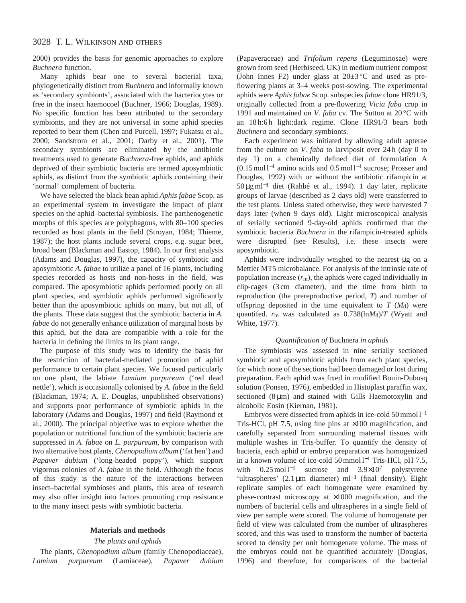# 3028 T. L. WILKINSON AND OTHERS

2000) provides the basis for genomic approaches to explore *Buchnera* function.

Many aphids bear one to several bacterial taxa, phylogenetically distinct from *Buchnera* and informally known as 'secondary symbionts', associated with the bacteriocytes or free in the insect haemocoel (Buchner, 1966; Douglas, 1989). No specific function has been attributed to the secondary symbionts, and they are not universal in some aphid species reported to bear them (Chen and Purcell, 1997; Fukatsu et al., 2000; Sandstrom et al., 2001; Darby et al., 2001). The secondary symbionts are eliminated by the antibiotic treatments used to generate *Buchnera*-free aphids, and aphids deprived of their symbiotic bacteria are termed aposymbiotic aphids, as distinct from the symbiotic aphids containing their 'normal' complement of bacteria.

We have selected the black bean aphid *Aphis fabae* Scop. as an experimental system to investigate the impact of plant species on the aphid–bacterial symbiosis. The parthenogenetic morphs of this species are polyphagous, with 80–100 species recorded as host plants in the field (Stroyan, 1984; Thieme, 1987); the host plants include several crops, e.g. sugar beet, broad bean (Blackman and Eastop, 1984). In our first analysis (Adams and Douglas, 1997), the capacity of symbiotic and aposymbiotic *A. fabae* to utilize a panel of 16 plants, including species recorded as hosts and non-hosts in the field, was compared. The aposymbiotic aphids performed poorly on all plant species, and symbiotic aphids performed significantly better than the aposymbiotic aphids on many, but not all, of the plants. These data suggest that the symbiotic bacteria in *A. fabae* do not generally enhance utilization of marginal hosts by this aphid, but the data are compatible with a role for the bacteria in defining the limits to its plant range.

The purpose of this study was to identify the basis for the restriction of bacterial-mediated promotion of aphid performance to certain plant species. We focused particularly on one plant, the labiate *Lamium purpureum* ('red dead nettle'), which is occasionally colonised by *A. fabae* in the field (Blackman, 1974; A. E. Douglas, unpublished observations) and supports poor performance of symbiotic aphids in the laboratory (Adams and Douglas, 1997) and field (Raymond et al., 2000). The principal objective was to explore whether the population or nutritional function of the symbiotic bacteria are suppressed in *A. fabae* on *L. purpureum*, by comparison with two alternative host plants, *Chenopodium album* ('fat hen') and *Papaver dubium* ('long-headed poppy'), which support vigorous colonies of *A. fabae* in the field. Although the focus of this study is the nature of the interactions between insect–bacterial symbioses and plants, this area of research may also offer insight into factors promoting crop resistance to the many insect pests with symbiotic bacteria.

### **Materials and methods**

## *The plants and aphids*

The plants, *Chenopodium album* (family Chenopodiaceae), *Lamium purpureum* (Lamiaceae), *Papaver dubium* (Papaveraceae) and *Trifolium repens* (Leguminosae) were grown from seed (Herbiseed, UK) in medium nutrient compost (John Innes F2) under glass at  $20 \pm 3$  °C and used as preflowering plants at 3–4 weeks post-sowing. The experimental aphids were *Aphis fabae* Scop. subspecies *fabae* clone HR91/3, originally collected from a pre-flowering *Vicia faba* crop in 1991 and maintained on *V. faba* cv. The Sutton at 20 °C with an 18 h:6 h light:dark regime. Clone HR91/3 bears both *Buchnera* and secondary symbionts.

Each experiment was initiated by allowing adult apterae from the culture on *V. faba* to larviposit over 24 h (day 0 to day 1) on a chemically defined diet of formulation A (0.15 mol l−<sup>1</sup> amino acids and 0.5 mol l−<sup>1</sup> sucrose; Prosser and Douglas, 1992) with or without the antibiotic rifampicin at 50 µg ml−<sup>1</sup> diet (Rahbé et al., 1994). 1 day later, replicate groups of larvae (described as 2 days old) were transferred to the test plants. Unless stated otherwise, they were harvested 7 days later (when 9 days old). Light microscopical analysis of serially sectioned 9-day-old aphids confirmed that the symbiotic bacteria *Buchnera* in the rifampicin-treated aphids were disrupted (see Results), i.e. these insects were aposymbiotic.

Aphids were individually weighed to the nearest µg on a Mettler MT5 microbalance. For analysis of the intrinsic rate of population increase (*r*m), the aphids were caged individually in clip-cages (3 cm diameter), and the time from birth to reproduction (the prereproductive period, *T*) and number of offspring deposited in the time equivalent to  $T (M_d)$  were quantifed.  $r_m$  was calculated as 0.738(ln*M*<sub>d</sub>)/*T* (Wyatt and White, 1977).

## *Quantification of* Buchnera *in aphids*

The symbiosis was assessed in nine serially sectioned symbiotic and aposymbiotic aphids from each plant species, for which none of the sections had been damaged or lost during preparation. Each aphid was fixed in modified Bouin-Dubosq solution (Ponsen, 1976), embedded in Histoplast paraffin wax, sectioned  $(8 \mu m)$  and stained with Gills Haemotoxylin and alcoholic Eosin (Kiernan, 1981).

Embryos were dissected from aphids in ice-cold 50 mmol l−<sup>1</sup> Tris-HCl, pH 7.5, using fine pins at  $\times$ 100 magnification, and carefully separated from surrounding maternal tissues with multiple washes in Tris-buffer. To quantify the density of bacteria, each aphid or embryo preparation was homogenized in a known volume of ice-cold 50 mmol l−<sup>1</sup> Tris-HCl, pH 7.5, with  $0.25 \text{ mol}^{-1}$  sucrose and  $3.9 \times 10^7$  polystyrene 'ultraspheres' (2.1 µm diameter) ml<sup>-1</sup> (final density). Eight replicate samples of each homogenate were examined by phase-contrast microscopy at ×1000 magnification, and the numbers of bacterial cells and ultraspheres in a single field of view per sample were scored. The volume of homogenate per field of view was calculated from the number of ultraspheres scored, and this was used to transform the number of bacteria scored to density per unit homogenate volume. The mass of the embryos could not be quantified accurately (Douglas, 1996) and therefore, for comparisons of the bacterial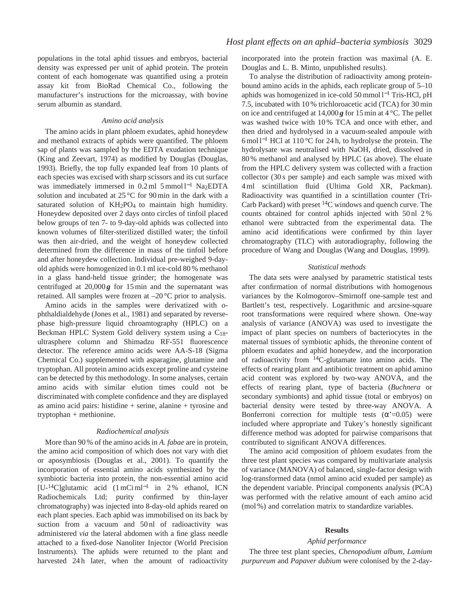populations in the total aphid tissues and embryos, bacterial density was expressed per unit of aphid protein. The protein content of each homogenate was quantified using a protein assay kit from BioRad Chemical Co., following the manufacturer's instructions for the microassay, with bovine serum albumin as standard.

### *Amino acid analysis*

The amino acids in plant phloem exudates, aphid honeydew and methanol extracts of aphids were quantified. The phloem sap of plants was sampled by the EDTA exudation technique (King and Zeevart, 1974) as modified by Douglas (Douglas, 1993). Briefly, the top fully expanded leaf from 10 plants of each species was excised with sharp scissors and its cut surface was immediately immersed in 0.2 ml 5 mmol l<sup>-1</sup> Na<sub>2</sub>EDTA solution and incubated at 25 °C for 90 min in the dark with a saturated solution of KH<sub>2</sub>PO<sub>4</sub> to maintain high humidity. Honeydew deposited over 2 days onto circles of tinfoil placed below groups of ten 7- to 9-day-old aphids was collected into known volumes of filter-sterilized distilled water; the tinfoil was then air-dried, and the weight of honeydew collected determined from the difference in mass of the tinfoil before and after honeydew collection. Individual pre-weighed 9-dayold aphids were homogenized in 0.1 ml ice-cold 80 % methanol in a glass hand-held tissue grinder; the homogenate was centrifuged at  $20,000g$  for 15 min and the supernatant was retained. All samples were frozen at –20 °C prior to analysis.

Amino acids in the samples were derivatized with *o*phthaldialdehyde (Jones et al., 1981) and separated by reversephase high-pressure liquid chroamtography (HPLC) on a Beckman HPLC System Gold delivery system using a C18 ultrasphere column and Shimadzu RF-551 fluorescence detector. The reference amino acids were AA-S-18 (Sigma Chemical Co.) supplemented with asparagine, glutamine and tryptophan. All protein amino acids except proline and cysteine can be detected by this methodology. In some analyses, certain amino acids with similar elution times could not be discriminated with complete confidence and they are displayed as amino acid pairs: histidine + serine, alanine + tyrosine and tryptophan + methionine.

#### *Radiochemical analysis*

More than 90 % of the amino acids in *A. fabae* are in protein, the amino acid composition of which does not vary with diet or aposymbiosis (Douglas et al., 2001). To quantify the incorporation of essential amino acids synthesized by the symbiotic bacteria into protein, the non-essential amino acid [U-<sup>14</sup>C]glutamic acid  $(1 \text{ mCi m}^{-1} \text{ in } 2\%$  ethanol, ICN Radiochemicals Ltd; purity confirmed by thin-layer chromatography) was injected into 8-day-old aphids reared on each plant species. Each aphid was immobilised on its back by suction from a vacuum and 50 nl of radioactivity was administered *via* the lateral abdomen with a fine glass needle attached to a fixed-dose Nanoliter Injector (World Precision Instruments). The aphids were returned to the plant and harvested 24h later, when the amount of radioactivity

incorporated into the protein fraction was maximal (A. E. Douglas and L. B. Minto, unpublished results).

To analyse the distribution of radioactivity among proteinbound amino acids in the aphids, each replicate group of 5–10 aphids was homogenized in ice-cold 50 mmol l−<sup>1</sup> Tris-HCl, pH 7.5, incubated with 10 % trichloroacetic acid (TCA) for 30 min on ice and centrifuged at  $14,000g$  for 15 min at 4 °C. The pellet was washed twice with 10 % TCA and once with ether, and then dried and hydrolysed in a vacuum-sealed ampoule with 6 mol l−<sup>1</sup> HCl at 110 °C for 24 h, to hydrolyse the protein. The hydrolysate was neutralised with NaOH, dried, dissolved in 80 % methanol and analysed by HPLC (as above). The eluate from the HPLC delivery system was collected with a fraction collector (30 s per sample) and each sample was mixed with 4 ml scintillation fluid (Ultima Gold XR, Packman). Radioactivity was quantified in a scintillation counter (Tri-Carb Packard) with preset  ${}^{14}C$  windows and quench curve. The counts obtained for control aphids injected with 50 nl 2 % ethanol were subtracted from the experimental data. The amino acid identifications were confirmed by thin layer chromatography (TLC) with autoradiography, following the procedure of Wang and Douglas (Wang and Douglas, 1999).

#### *Statistical methods*

The data sets were analysed by parametric statistical tests after confirmation of normal distributions with homogenous variances by the Kolmogorov–Smirnoff one-sample test and Bartlett's test, respectively. Logarithmic and arcsine-square root transformations were required where shown. One-way analysis of variance (ANOVA) was used to investigate the impact of plant species on numbers of bacteriocytes in the maternal tissues of symbiotic aphids, the threonine content of phloem exudates and aphid honeydew, and the incorporation of radioactivity from 14C-glutamate into amino acids. The effects of rearing plant and antibiotic treatment on aphid amino acid content was explored by two-way ANOVA, and the effects of rearing plant, type of bacteria (*Buchnera* or secondary symbionts) and aphid tissue (total or embryos) on bacterial density were tested by three-way ANOVA. A Bonferroni correction for multiple tests  $(\alpha' = 0.05)$  were included where appropriate and Tukey's honestly significant difference method was adopted for pairwise comparisons that contributed to significant ANOVA differences.

The amino acid composition of phloem exudates from the three test plant species was compared by multivariate analysis of variance (MANOVA) of balanced, single-factor design with log-transformed data (nmol amino acid exuded per sample) as the dependent variable. Principal components analysis (PCA) was performed with the relative amount of each amino acid (mol %) and correlation matrix to standardize variables.

### **Results**

## *Aphid performance*

The three test plant species, *Chenopodium album*, *Lamium purpureum* and *Papaver dubium* were colonised by the 2-day-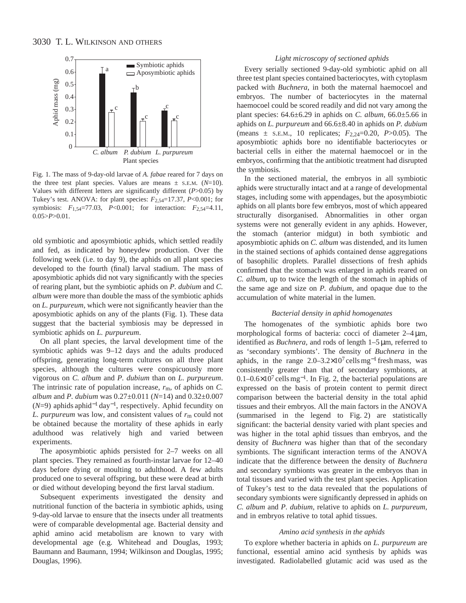

Fig. 1. The mass of 9-day-old larvae of *A. fabae* reared for 7 days on the three test plant species. Values are means  $\pm$  s.e.m. ( $N=10$ ). Values with different letters are significantly different (*P*>0.05) by Tukey's test. ANOVA: for plant species: *F*2,54=17.37, *P*<0.001; for symbiosis: *F*1,54=77.03, *P*<0.001; for interaction: *F*2,54=4.11, 0.05>*P*>0.01.

old symbiotic and aposymbiotic aphids, which settled readily and fed, as indicated by honeydew production. Over the following week (i.e. to day 9), the aphids on all plant species developed to the fourth (final) larval stadium. The mass of aposymbiotic aphids did not vary significantly with the species of rearing plant, but the symbiotic aphids on *P. dubium* and *C. album* were more than double the mass of the symbiotic aphids on *L. purpureum*, which were not significantly heavier than the aposymbiotic aphids on any of the plants (Fig. 1). These data suggest that the bacterial symbiosis may be depressed in symbiotic aphids on *L. purpureum*.

On all plant species, the larval development time of the symbiotic aphids was 9–12 days and the adults produced offspring, generating long-term cultures on all three plant species, although the cultures were conspicuously more vigorous on *C. album* and *P. dubium* than on *L. purpureum*. The intrinsic rate of population increase, *r*m, of aphids on *C. album* and *P. dubium* was 0.27±0.011 (*N*=14) and 0.32±0.007 (*N*=9) aphids aphid−<sup>1</sup> day<sup>−</sup>1, respectively. Aphid fecundity on *L. purpureum* was low, and consistent values of  $r<sub>m</sub>$  could not be obtained because the mortality of these aphids in early adulthood was relatively high and varied between experiments.

The aposymbiotic aphids persisted for 2–7 weeks on all plant species. They remained as fourth-instar larvae for 12–40 days before dying or moulting to adulthood. A few adults produced one to several offspring, but these were dead at birth or died without developing beyond the first larval stadium.

Subsequent experiments investigated the density and nutritional function of the bacteria in symbiotic aphids, using 9-day-old larvae to ensure that the insects under all treatments were of comparable developmental age. Bacterial density and aphid amino acid metabolism are known to vary with developmental age (e.g. Whitehead and Douglas, 1993; Baumann and Baumann, 1994; Wilkinson and Douglas, 1995; Douglas, 1996).

## *Light microscopy of sectioned aphids*

Every serially sectioned 9-day-old symbiotic aphid on all three test plant species contained bacteriocytes, with cytoplasm packed with *Buchnera*, in both the maternal haemocoel and embryos. The number of bacteriocytes in the maternal haemocoel could be scored readily and did not vary among the plant species: 64.6±6.29 in aphids on *C. album*, 66.0±5.66 in aphids on *L. purpureum* and 66.6±8.40 in aphids on *P. dubium* (means ± S.E.M., 10 replicates; *F*2,24=0.20, *P*>0.05). The aposymbiotic aphids bore no identifiable bacteriocytes or bacterial cells in either the maternal haemocoel or in the embryos, confirming that the antibiotic treatment had disrupted the symbiosis.

In the sectioned material, the embryos in all symbiotic aphids were structurally intact and at a range of developmental stages, including some with appendages, but the aposymbiotic aphids on all plants bore few embryos, most of which appeared structurally disorganised. Abnormalities in other organ systems were not generally evident in any aphids. However, the stomach (anterior midgut) in both symbiotic and aposymbiotic aphids on *C. album* was distended, and its lumen in the stained sections of aphids contained dense aggregations of basophilic droplets. Parallel dissections of fresh aphids confirmed that the stomach was enlarged in aphids reared on *C. album*, up to twice the length of the stomach in aphids of the same age and size on *P. dubium*, and opaque due to the accumulation of white material in the lumen.

#### *Bacterial density in aphid homogenates*

The homogenates of the symbiotic aphids bore two morphological forms of bacteria: cocci of diameter 2–4  $\mu$ m, identified as *Buchnera*, and rods of length 1–5 µm, referred to as 'secondary symbionts'. The density of *Buchnera* in the aphids*,* in the range 2.0–3.2×10<sup>7</sup> cells mg−<sup>1</sup> fresh mass, was consistently greater than that of secondary symbionts, at 0.1–0.6×107 cells mg<sup>−</sup>1. In Fig. 2, the bacterial populations are expressed on the basis of protein content to permit direct comparison between the bacterial density in the total aphid tissues and their embryos. All the main factors in the ANOVA (summarised in the legend to Fig. 2) are statistically significant: the bacterial density varied with plant species and was higher in the total aphid tissues than embryos, and the density of *Buchnera* was higher than that of the secondary symbionts. The significant interaction terms of the ANOVA indicate that the difference between the density of *Buchnera* and secondary symbionts was greater in the embryos than in total tissues and varied with the test plant species. Application of Tukey's test to the data revealed that the populations of secondary symbionts were significantly depressed in aphids on *C. album* and *P. dubium*, relative to aphids on *L. purpureum*, and in embryos relative to total aphid tissues.

#### *Amino acid synthesis in the aphids*

To explore whether bacteria in aphids on *L. purpureum* are functional, essential amino acid synthesis by aphids was investigated. Radiolabelled glutamic acid was used as the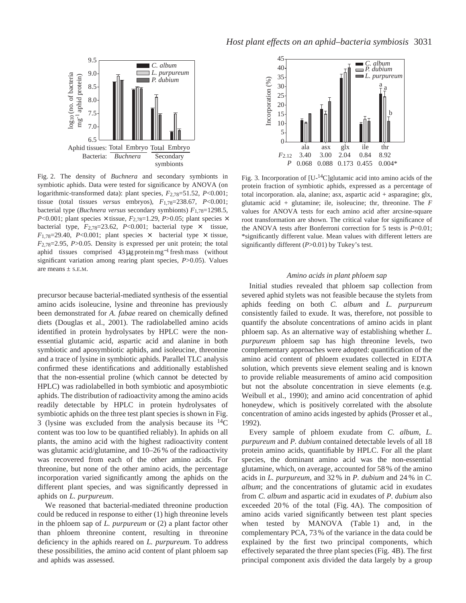

Fig. 2. The density of *Buchnera* and secondary symbionts in symbiotic aphids. Data were tested for significance by ANOVA (on logarithmic-transformed data): plant species, *F*2,78=51.52, *P*<0.001; tissue (total tissues *versus* embryos), *F*1,78=238.67, *P*<0.001; bacterial type (*Buchnera versus* secondary symbionts) *F*1,78=1298.5, *P*<0.001; plant species  $\times$  tissue, *F*<sub>2,78</sub>=1.29, *P*>0.05; plant species  $\times$ bacterial type,  $F_{2,78}=23.62$ ,  $P<0.001$ ; bacterial type  $\times$  tissue,  $F_{1,78}=29.40$ ,  $P<0.001$ ; plant species  $\times$  bacterial type  $\times$  tissue, *F*2,78=2.95, *P*>0.05. Density is expressed per unit protein; the total aphid tissues comprised 43 µg protein mg−<sup>1</sup> fresh mass (without significant variation among rearing plant species, *P*>0.05). Values are means  $\frac{1}{2}$  and  $\frac{1}{2}$  and  $\frac{1}{2}$  and  $\frac{1}{2}$  and  $\frac{1}{2}$  and  $\frac{1}{2}$  and  $\frac{1}{2}$  and  $\frac{1}{2}$  and  $\frac{1}{2}$  and  $\frac{1}{2}$  and  $\frac{1}{2}$  and  $\frac{1}{2}$  and  $\frac{1}{2}$  and  $\frac{1}{2}$  and  $\frac{1}{2}$  becom

precursor because bacterial-mediated synthesis of the essential amino acids isoleucine, lysine and threonine has previously been demonstrated for *A. fabae* reared on chemically defined diets (Douglas et al., 2001). The radiolabelled amino acids identified in protein hydrolysates by HPLC were the nonessential glutamic acid, aspartic acid and alanine in both symbiotic and aposymbiotic aphids, and isoleucine, threonine and a trace of lysine in symbiotic aphids. Parallel TLC analysis confirmed these identifications and additionally established that the non-essential proline (which cannot be detected by HPLC) was radiolabelled in both symbiotic and aposymbiotic aphids. The distribution of radioactivity among the amino acids readily detectable by HPLC in protein hydrolysates of symbiotic aphids on the three test plant species is shown in Fig. 3 (lysine was excluded from the analysis because its  $^{14}$ C content was too low to be quantified reliably). In aphids on all plants, the amino acid with the highest radioactivity content was glutamic acid/glutamine, and 10–26 % of the radioactivity was recovered from each of the other amino acids. For threonine, but none of the other amino acids, the percentage incorporation varied significantly among the aphids on the different plant species, and was significantly depressed in aphids on *L. purpureum*.

We reasoned that bacterial-mediated threonine production could be reduced in response to either (1) high threonine levels in the phloem sap of *L. purpureum* or (2) a plant factor other than phloem threonine content, resulting in threonine deficiency in the aphids reared on *L. purpureum*. To address these possibilities, the amino acid content of plant phloem sap and aphids was assessed.



Fig. 3. Incorporation of [U-14C]glutamic acid into amino acids of the protein fraction of symbiotic aphids, expressed as a percentage of total incorporation. ala, alanine; asx, aspartic acid + asparagine; glx, glutamic acid + glutamine; ile, isoleucine; thr, threonine. The *F* values for ANOVA tests for each amino acid after arcsine-square root transformation are shown. The critical value for significance of the ANOVA tests after Bonferroni correction for 5 tests is *P*=0.01; \*significantly different value. Mean values with different letters are significantly different (*P*>0.01) by Tukey's test.

### *Amino acids in plant phloem sap*

Initial studies revealed that phloem sap collection from severed aphid stylets was not feasible because the stylets from aphids feeding on both *C. album* and *L. purpureum* consistently failed to exude. It was, therefore, not possible to quantify the absolute concentrations of amino acids in plant phloem sap. As an alternative way of establishing whether *L. purpureum* phloem sap has high threonine levels, two complementary approaches were adopted: quantification of the amino acid content of phloem exudates collected in EDTA solution, which prevents sieve element sealing and is known to provide reliable measurements of amino acid composition but not the absolute concentration in sieve elements (e.g. Weibull et al., 1990); and amino acid concentration of aphid honeydew, which is positively correlated with the absolute concentration of amino acids ingested by aphids (Prosser et al., 1992).

Every sample of phloem exudate from *C. album*, *L. purpureum* and *P. dubium* contained detectable levels of all 18 protein amino acids, quantifiable by HPLC. For all the plant species, the dominant amino acid was the non-essential glutamine, which, on average, accounted for 58 % of the amino acids in *L. purpureum*, and 32 % in *P. dubium* and 24 % in *C. album*; and the concentrations of glutamic acid in exudates from *C. album* and aspartic acid in exudates of *P. dubium* also exceeded 20 % of the total (Fig. 4A). The composition of amino acids varied significantly between test plant species when tested by MANOVA (Table 1) and, in the complementary PCA, 73 % of the variance in the data could be explained by the first two principal components, which effectively separated the three plant species (Fig. 4B). The first principal component axis divided the data largely by a group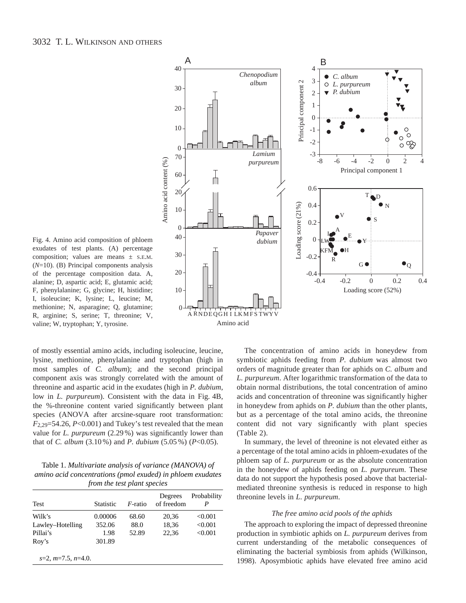

Fig. 4. Amino acid composition of phloem exudates of test plants. (A) percentage composition; values are means  $\pm$  S.E.M. (*N*=10). (B) Principal components analysis of the percentage composition data. A, alanine; D, aspartic acid; E, glutamic acid; F, phenylalanine; G, glycine; H, histidine; I, isoleucine; K, lysine; L, leucine; M, methionine; N, asparagine; Q, glutamine; R, arginine; S, serine; T, threonine; V, valine; W, tryptophan; Y, tyrosine.

of mostly essential amino acids, including isoleucine, leucine, lysine, methionine, phenylalanine and tryptophan (high in most samples of *C. album*); and the second principal component axis was strongly correlated with the amount of threonine and aspartic acid in the exudates (high in *P. dubium*, low in *L. purpureum*). Consistent with the data in Fig. 4B, the %-threonine content varied significantly between plant species (ANOVA after arcsine-square root transformation:  $F_{2,29}=54.26$ ,  $P<0.001$ ) and Tukey's test revealed that the mean value for *L. purpureum* (2.29 %) was significantly lower than that of *C. album* (3.10 %) and *P. dubium* (5.05 %) (*P*<0.05).

Table 1. *Multivariate analysis of variance (MANOVA) of amino acid concentrations (pmol exuded) in phloem exudates from the test plant species*

| Test                 | <b>Statistic</b> | $F$ -ratio | Degrees<br>of freedom | Probability<br>P |
|----------------------|------------------|------------|-----------------------|------------------|
| Wilk's               | 0.00006          | 68.60      | 20,36                 | < 0.001          |
| Lawley-Hotelling     | 352.06           | 88.0       | 18,36                 | < 0.001          |
| Pillai's             | 1.98             | 52.89      | 22,36                 | < 0.001          |
| Roy's                | 301.89           |            |                       |                  |
| $s=2, m=7.5, n=4.0.$ |                  |            |                       |                  |

The concentration of amino acids in honeydew from symbiotic aphids feeding from *P. dubium* was almost two orders of magnitude greater than for aphids on *C. album* and *L. purpureum*. After logarithmic transformation of the data to obtain normal distributions, the total concentration of amino acids and concentration of threonine was significantly higher in honeydew from aphids on *P. dubium* than the other plants, but as a percentage of the total amino acids, the threonine content did not vary significantly with plant species (Table 2).

In summary, the level of threonine is not elevated either as a percentage of the total amino acids in phloem-exudates of the phloem sap of *L. purpureum* or as the absolute concentration in the honeydew of aphids feeding on *L. purpureum*. These data do not support the hypothesis posed above that bacterialmediated threonine synthesis is reduced in response to high threonine levels in *L*. *purpureum*.

#### *The free amino acid pools of the aphids*

The approach to exploring the impact of depressed threonine production in symbiotic aphids on *L. purpureum* derives from current understanding of the metabolic consequences of eliminating the bacterial symbiosis from aphids (Wilkinson, 1998). Aposymbiotic aphids have elevated free amino acid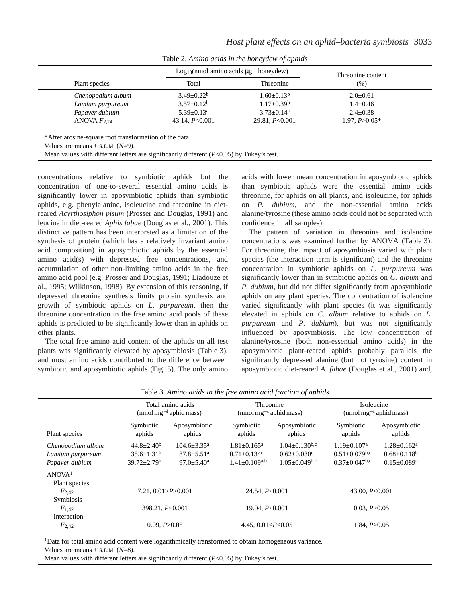|                   | Log <sub>10</sub> (nmol amino acids $\mu$ g <sup>-1</sup> honeydew) | Threonine content       |                   |
|-------------------|---------------------------------------------------------------------|-------------------------|-------------------|
| Plant species     | Total                                                               | Threonine               | (% )              |
| Chenopodium album | $3.49 \pm 0.22^b$                                                   | $1.60 \pm 0.13^b$       | $2.0 \pm 0.61$    |
| Lamium purpureum  | $3.57 \pm 0.12^b$                                                   | $1.17 \pm 0.39^{\rm b}$ | $1.4 \pm 0.46$    |
| Papaver dubium    | $5.39 \pm 0.13^a$                                                   | $3.73 \pm 0.14^a$       | $2.4 \pm 0.38$    |
| ANOVA $F_{2,24}$  | 43.14, $P < 0.001$                                                  | 29.81, $P<0.001$        | $1.97, P > 0.05*$ |

Table 2. *Amino acids in the honeydew of aphids* 

concentrations relative to symbiotic aphids but the concentration of one-to-several essential amino acids is significantly lower in aposymbiotic aphids than symbiotic aphids, e.g. phenylalanine, isoleucine and threonine in dietreared *Acyrthosiphon pisum* (Prosser and Douglas, 1991) and leucine in diet-reared *Aphis fabae* (Douglas et al., 2001). This distinctive pattern has been interpreted as a limitation of the synthesis of protein (which has a relatively invariant amino acid composition) in aposymbiotic aphids by the essential amino acid(s) with depressed free concentrations, and accumulation of other non-limiting amino acids in the free amino acid pool (e.g. Prosser and Douglas, 1991; Liadouze et al., 1995; Wilkinson, 1998). By extension of this reasoning, if depressed threonine synthesis limits protein synthesis and growth of symbiotic aphids on *L. purpureum*, then the threonine concentration in the free amino acid pools of these aphids is predicted to be significantly lower than in aphids on other plants.

The total free amino acid content of the aphids on all test plants was significantly elevated by aposymbiosis (Table 3), and most amino acids contributed to the difference between symbiotic and aposymbiotic aphids (Fig. 5). The only amino acids with lower mean concentration in aposymbiotic aphids than symbiotic aphids were the essential amino acids threonine, for aphids on all plants, and isoleucine, for aphids on *P. dubium*, and the non-essential amino acids alanine/tyrosine (these amino acids could not be separated with confidence in all samples).

The pattern of variation in threonine and isoleucine concentrations was examined further by ANOVA (Table 3). For threonine, the impact of aposymbiosis varied with plant species (the interaction term is significant) and the threonine concentration in symbiotic aphids on *L. purpureum* was significantly lower than in symbiotic aphids on *C. album* and *P. dubium*, but did not differ significantly from aposymbiotic aphids on any plant species. The concentration of isoleucine varied significantly with plant species (it was significantly elevated in aphids on *C. album* relative to aphids on *L. purpureum* and *P. dubium*), but was not significantly influenced by aposymbiosis. The low concentration of alanine/tyrosine (both non-essential amino acids) in the aposymbiotic plant-reared aphids probably parallels the significantly depressed alanine (but not tyrosine) content in aposymbiotic diet-reared *A. fabae* (Douglas et al., 2001) and,

|                                                                       | Total amino acids<br>(nmol mg <sup>-1</sup> aphid mass)      |                                                                                        | Threonine<br>(nmol mg <sup>-1</sup> aphid mass)                               |                                                                                        | Isoleucine<br>$(nmol \, mg^{-1}$ aphid mass)                                                    |                                                                                      |  |
|-----------------------------------------------------------------------|--------------------------------------------------------------|----------------------------------------------------------------------------------------|-------------------------------------------------------------------------------|----------------------------------------------------------------------------------------|-------------------------------------------------------------------------------------------------|--------------------------------------------------------------------------------------|--|
| Plant species                                                         | Symbiotic<br>aphids                                          | Aposymbiotic<br>aphids                                                                 | Symbiotic<br>aphids                                                           | Aposymbiotic<br>aphids                                                                 | Symbiotic<br>aphids                                                                             | Aposymbiotic<br>aphids                                                               |  |
| Chenopodium album<br>Lamium purpureum<br>Papaver dubium               | $44.8 \pm 2.40^b$<br>$35.6 \pm 1.31^b$<br>$39.72 \pm 2.79^b$ | $104.6 \pm 3.35^{\text{a}}$<br>$87.8 \pm 5.51$ <sup>a</sup><br>$97.0 \pm 5.40^{\circ}$ | $1.81 \pm 0.165$ <sup>a</sup><br>$0.71 \pm 0.134$ c<br>$1.41 \pm 0.109^{a,b}$ | $1.04 \pm 0.130$ <sup>b,c</sup><br>$0.62 \pm 0.030$ <sup>c</sup><br>$1.05+0.049^{b,c}$ | $1.19 \pm 0.107$ <sup>a</sup><br>$0.51 \pm 0.079$ <sup>b,c</sup><br>$0.37+0.047^{\mathrm{b,c}}$ | $1.28 \pm 0.162^a$<br>$0.68 \pm 0.118$ <sup>b</sup><br>$0.15 \pm 0.089$ <sup>c</sup> |  |
| ANOVA <sup>1</sup><br>Plant species<br>F <sub>2.42</sub><br>Symbiosis | 7.21, 0.01 > P > 0.001                                       |                                                                                        | 24.54, $P < 0.001$                                                            |                                                                                        | 43.00, $P < 0.001$                                                                              |                                                                                      |  |
| $F_{1,42}$<br>Interaction                                             | 398.21, P<0.001                                              |                                                                                        | 19.04, $P<0.001$                                                              |                                                                                        | 0.03, P > 0.05                                                                                  |                                                                                      |  |
| $F_{2,42}$                                                            | 0.09, P > 0.05                                               |                                                                                        | 4.45, $0.01 < P < 0.05$                                                       |                                                                                        | 1.84, $P > 0.05$                                                                                |                                                                                      |  |

Table 3. *Amino acids in the free amino acid fraction of aphids* 

1Data for total amino acid content were logarithmically transformed to obtain homogeneous variance. Values are means  $\pm$  s.e.m. ( $N=8$ ).

Mean values with different letters are significantly different (*P*<0.05) by Tukey's test.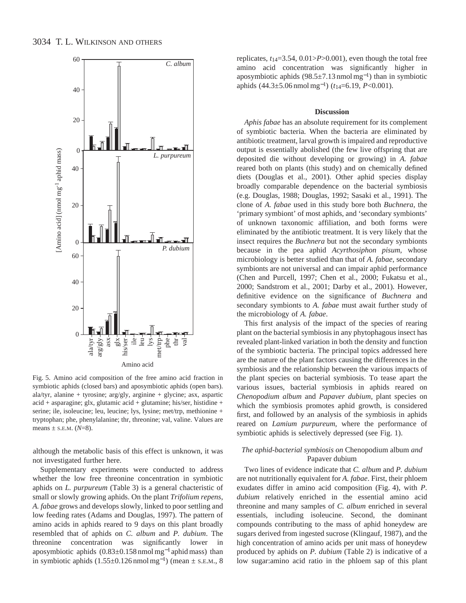

Fig. 5. Amino acid composition of the free amino acid fraction in symbiotic aphids (closed bars) and aposymbiotic aphids (open bars). ala/tyr, alanine + tyrosine; arg/gly, arginine + glycine; asx, aspartic acid + asparagine; glx, glutamic acid + glutamine; his/ser, histidine + serine; ile, isoleucine; leu, leucine; lys, lysine; met/trp, methionine + tryptophan; phe, phenylalanine; thr, threonine; val, valine. Values are means  $\pm$  s.e.m. ( $N=8$ ).

although the metabolic basis of this effect is unknown, it was not investigated further here.

Supplementary experiments were conducted to address whether the low free threonine concentration in symbiotic aphids on *L. purpureum* (Table 3) is a general chacteristic of small or slowly growing aphids. On the plant *Trifolium repens*, *A. fabae* grows and develops slowly, linked to poor settling and low feeding rates (Adams and Douglas, 1997). The pattern of amino acids in aphids reared to 9 days on this plant broadly resembled that of aphids on *C. album* and *P. dubium*. The threonine concentration was significantly lower in aposymbiotic aphids (0.83±0.158 nmol mg−<sup>1</sup> aphid mass) than in symbiotic aphids  $(1.55\pm0.126 \text{ nmol mg}^{-1})$  (mean  $\pm$  s.e.m., 8 replicates, *t*14=3.54, 0.01>*P*>0.001), even though the total free amino acid concentration was significantly higher in aposymbiotic aphids (98.5±7.13 nmol mg<sup>−</sup>1) than in symbiotic aphids (44.3±5.06 nmol mg<sup>−</sup>1) (*t*14=6.19, *P*<0.001).

#### **Discussion**

*Aphis fabae* has an absolute requirement for its complement of symbiotic bacteria. When the bacteria are eliminated by antibiotic treatment, larval growth is impaired and reproductive output is essentially abolished (the few live offspring that are deposited die without developing or growing) in *A. fabae* reared both on plants (this study) and on chemically defined diets (Douglas et al., 2001). Other aphid species display broadly comparable dependence on the bacterial symbiosis (e.g. Douglas, 1988; Douglas, 1992; Sasaki et al., 1991). The clone of *A. fabae* used in this study bore both *Buchnera*, the 'primary symbiont' of most aphids, and 'secondary symbionts' of unknown taxonomic affiliation, and both forms were eliminated by the antibiotic treatment. It is very likely that the insect requires the *Buchnera* but not the secondary symbionts because in the pea aphid *Acyrthosiphon pisum*, whose microbiology is better studied than that of *A. fabae*, secondary symbionts are not universal and can impair aphid performance (Chen and Purcell, 1997; Chen et al., 2000; Fukatsu et al., 2000; Sandstrom et al., 2001; Darby et al., 2001). However, definitive evidence on the significance of *Buchnera* and secondary symbionts to *A. fabae* must await further study of the microbiology of *A. fabae*.

This first analysis of the impact of the species of rearing plant on the bacterial symbiosis in any phytophagous insect has revealed plant-linked variation in both the density and function of the symbiotic bacteria. The principal topics addressed here are the nature of the plant factors causing the differences in the symbiosis and the relationship between the various impacts of the plant species on bacterial symbiosis. To tease apart the various issues, bacterial symbiosis in aphids reared on *Chenopodium album* and *Papaver dubium*, plant species on which the symbiosis promotes aphid growth, is considered first, and followed by an analysis of the symbiosis in aphids reared on *Lamium purpureum*, where the performance of symbiotic aphids is selectively depressed (see Fig. 1).

## *The aphid-bacterial symbiosis on* Chenopodium album *and* Papaver dubium

Two lines of evidence indicate that *C. album* and *P. dubium* are not nutritionally equivalent for *A. fabae*. First, their phloem exudates differ in amino acid composition (Fig. 4), with *P. dubium* relatively enriched in the essential amino acid threonine and many samples of *C. album* enriched in several essentials, including isoleucine. Second, the dominant compounds contributing to the mass of aphid honeydew are sugars derived from ingested sucrose (Klingauf, 1987), and the high concentration of amino acids per unit mass of honeydew produced by aphids on *P. dubium* (Table 2) is indicative of a low sugar:amino acid ratio in the phloem sap of this plant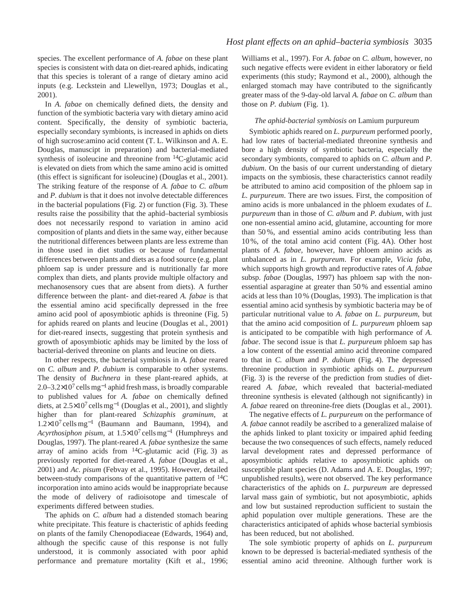species. The excellent performance of *A. fabae* on these plant species is consistent with data on diet-reared aphids, indicating that this species is tolerant of a range of dietary amino acid inputs (e.g. Leckstein and Llewellyn, 1973; Douglas et al., 2001).

In *A. fabae* on chemically defined diets, the density and function of the symbiotic bacteria vary with dietary amino acid content. Specifically, the density of symbiotic bacteria, especially secondary symbionts, is increased in aphids on diets of high sucrose:amino acid content (T. L. Wilkinson and A. E. Douglas, manuscipt in preparation) and bacterial-mediated synthesis of isoleucine and threonine from 14C-glutamic acid is elevated on diets from which the same amino acid is omitted (this effect is significant for isoleucine) (Douglas et al., 2001). The striking feature of the response of *A. fabae* to *C. album* and *P. dubium* is that it does not involve detectable differences in the bacterial populations (Fig. 2) or function (Fig. 3). These results raise the possibility that the aphid–bacterial symbiosis does not necessarily respond to variation in amino acid composition of plants and diets in the same way, either because the nutritional differences between plants are less extreme than in those used in diet studies or because of fundamental differences between plants and diets as a food source (e.g. plant phloem sap is under pressure and is nutritionally far more complex than diets, and plants provide multiple olfactory and mechanosensory cues that are absent from diets). A further difference between the plant- and diet-reared *A. fabae* is that the essential amino acid specifically depressed in the free amino acid pool of aposymbiotic aphids is threonine (Fig. 5) for aphids reared on plants and leucine (Douglas et al., 2001) for diet-reared insects, suggesting that protein synthesis and growth of aposymbiotic aphids may be limited by the loss of bacterial-derived threonine on plants and leucine on diets.

In other respects, the bacterial symbiosis in *A. fabae* reared on *C. album* and *P. dubium* is comparable to other systems. The density of *Buchnera* in these plant-reared aphids, at 2.0–3.2×10<sup>7</sup> cells mg<sup>-1</sup> aphid fresh mass, is broadly comparable to published values for *A. fabae* on chemically defined diets, at 2.5×10<sup>7</sup> cells mg−<sup>1</sup> (Douglas et al., 2001), and slightly higher than for plant-reared *Schizaphis graminum*, at  $1.2\times10^{7}$  cells mg<sup>-1</sup> (Baumann and Baumann, 1994), and *Acyrthosiphon pisum*, at 1.5×10<sup>7</sup> cells mg−<sup>1</sup> (Humphreys and Douglas, 1997). The plant-reared *A. fabae* synthesize the same array of amino acids from  $^{14}$ C-glutamic acid (Fig. 3) as previously reported for diet-reared *A. fabae* (Douglas et al., 2001) and *Ac. pisum* (Febvay et al., 1995). However, detailed between-study comparisons of the quantitative pattern of  $^{14}C$ incorporation into amino acids would be inappropriate because the mode of delivery of radioisotope and timescale of experiments differed between studies.

The aphids on *C. album* had a distended stomach bearing white precipitate. This feature is chacteristic of aphids feeding on plants of the family Chenopodiaceae (Edwards, 1964) and, although the specific cause of this response is not fully understood, it is commonly associated with poor aphid performance and premature mortality (Kift et al., 1996;

Williams et al., 1997). For *A. fabae* on *C. album*, however, no such negative effects were evident in either laboratory or field experiments (this study; Raymond et al., 2000), although the enlarged stomach may have contributed to the significantly greater mass of the 9-day-old larval *A. fabae* on *C. album* than those on *P. dubium* (Fig. 1).

## *The aphid-bacterial symbiosis on* Lamium purpureum

Symbiotic aphids reared on *L. purpureum* performed poorly, had low rates of bacterial-mediated threonine synthesis and bore a high density of symbiotic bacteria, especially the secondary symbionts, compared to aphids on *C. album* and *P. dubium*. On the basis of our current understanding of dietary impacts on the symbiosis, these characteristics cannot readily be attributed to amino acid composition of the phloem sap in *L. purpureum*. There are two issues. First, the composition of amino acids is more unbalanced in the phloem exudates of *L. purpureum* than in those of *C. album* and *P. dubium*, with just one non-essential amino acid, glutamine, accounting for more than 50 %, and essential amino acids contributing less than 10 %, of the total amino acid content (Fig. 4A). Other host plants of *A. fabae,* however, have phloem amino acids as unbalanced as in *L. purpureum*. For example, *Vicia faba*, which supports high growth and reproductive rates of *A. fabae* subsp. *fabae* (Douglas, 1997) has phloem sap with the nonessential asparagine at greater than 50 % and essential amino acids at less than 10 % (Douglas, 1993). The implication is that essential amino acid synthesis by symbiotic bacteria may be of particular nutritional value to *A. fabae* on *L. purpureum*, but that the amino acid composition of *L. purpureum* phloem sap is anticipated to be compatible with high performance of *A. fabae*. The second issue is that *L. purpureum* phloem sap has a low content of the essential amino acid threonine compared to that in *C. album* and *P. dubium* (Fig. 4). The depressed threonine production in symbiotic aphids on *L. purpureum* (Fig. 3) is the reverse of the prediction from studies of dietreared *A. fabae*, which revealed that bacterial-mediated threonine synthesis is elevated (although not significantly) in *A. fabae* reared on threonine-free diets (Douglas et al., 2001).

The negative effects of *L. purpureum* on the performance of *A. fabae* cannot readily be ascribed to a generalized malaise of the aphids linked to plant toxicity or impaired aphid feeding because the two consequences of such effects, namely reduced larval development rates and depressed performance of aposymbiotic aphids relative to aposymbiotic aphids on susceptible plant species (D. Adams and A. E. Douglas, 1997; unpublished results), were not observed. The key performance characteristics of the aphids on *L. purpureum* are depressed larval mass gain of symbiotic, but not aposymbiotic, aphids and low but sustained reproduction sufficient to sustain the aphid population over multiple generations. These are the characteristics anticipated of aphids whose bacterial symbiosis has been reduced, but not abolished.

The sole symbiotic property of aphids on *L. purpureum* known to be depressed is bacterial-mediated synthesis of the essential amino acid threonine. Although further work is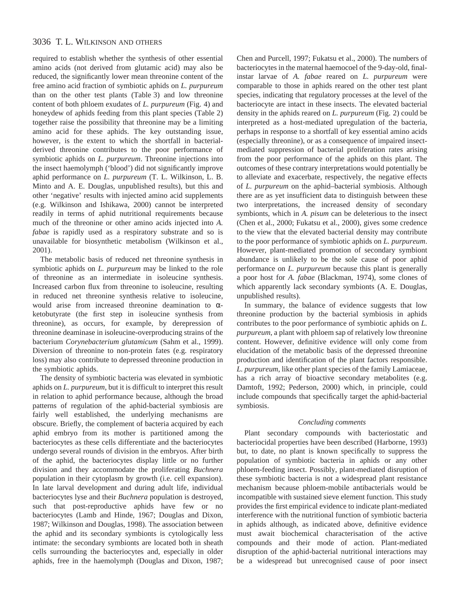# 3036 T. L. WILKINSON AND OTHERS

required to establish whether the synthesis of other essential amino acids (not derived from glutamic acid) may also be reduced, the significantly lower mean threonine content of the free amino acid fraction of symbiotic aphids on *L. purpureum* than on the other test plants (Table 3) and low threonine content of both phloem exudates of *L. purpureum* (Fig. 4) and honeydew of aphids feeding from this plant species (Table 2) together raise the possibility that threonine may be a limiting amino acid for these aphids. The key outstanding issue, however, is the extent to which the shortfall in bacterialderived threonine contributes to the poor performance of symbiotic aphids on *L. purpureum*. Threonine injections into the insect haemolymph ('blood') did not significantly improve aphid performance on *L. purpureum* (T. L. Wilkinson, L. B. Minto and A. E. Douglas, unpublished results), but this and other 'negative' results with injected amino acid supplements (e.g. Wilkinson and Ishikawa, 2000) cannot be interpreted readily in terms of aphid nutritional requirements because much of the threonine or other amino acids injected into *A. fabae* is rapidly used as a respiratory substrate and so is unavailable for biosynthetic metabolism (Wilkinson et al., 2001).

The metabolic basis of reduced net threonine synthesis in symbiotic aphids on *L. purpureum* may be linked to the role of threonine as an intermediate in isoleucine synthesis. Increased carbon flux from threonine to isoleucine, resulting in reduced net threonine synthesis relative to isoleucine, would arise from increased threonine deamination to αketobutyrate (the first step in isoleucine synthesis from threonine), as occurs, for example, by derepression of threonine deaminase in isoleucine-overproducing strains of the bacterium *Corynebacterium glutamicum* (Sahm et al., 1999). Diversion of threonine to non-protein fates (e.g. respiratory loss) may also contribute to depressed threonine production in the symbiotic aphids.

The density of symbiotic bacteria was elevated in symbiotic aphids on *L. purpureum*, but it is difficult to interpret this result in relation to aphid performance because, although the broad patterns of regulation of the aphid-bacterial symbiosis are fairly well established, the underlying mechanisms are obscure. Briefly, the complement of bacteria acquired by each aphid embryo from its mother is partitioned among the bacteriocytes as these cells differentiate and the bacteriocytes undergo several rounds of division in the embryos. After birth of the aphid, the bacteriocytes display little or no further division and they accommodate the proliferating *Buchnera* population in their cytoplasm by growth (i.e. cell expansion). In late larval development and during adult life, individual bacteriocytes lyse and their *Buchnera* population is destroyed, such that post-reproductive aphids have few or no bacteriocytes (Lamb and Hinde, 1967; Douglas and Dixon, 1987; Wilkinson and Douglas, 1998). The association between the aphid and its secondary symbionts is cytologically less intimate: the secondary symbionts are located both in sheath cells surrounding the bacteriocytes and, especially in older aphids, free in the haemolymph (Douglas and Dixon, 1987;

Chen and Purcell, 1997; Fukatsu et al., 2000). The numbers of bacteriocytes in the maternal haemocoel of the 9-day-old, finalinstar larvae of *A. fabae* reared on *L. purpureum* were comparable to those in aphids reared on the other test plant species, indicating that regulatory processes at the level of the bacteriocyte are intact in these insects. The elevated bacterial density in the aphids reared on *L. purpureum* (Fig. 2) could be interpreted as a host-mediated upregulation of the bacteria, perhaps in response to a shortfall of key essential amino acids (especially threonine), or as a consequence of impaired insectmediated suppression of bacterial proliferation rates arising from the poor performance of the aphids on this plant. The outcomes of these contrary interpretations would potentially be to alleviate and exacerbate, respectively, the negative effects of *L. purpureum* on the aphid–bacterial symbiosis. Although there are as yet insufficient data to distinguish between these two interpretations, the increased density of secondary symbionts, which in *A. pisum* can be deleterious to the insect (Chen et al., 2000; Fukatsu et al., 2000), gives some credence to the view that the elevated bacterial density may contribute to the poor performance of symbiotic aphids on *L. purpureum*. However, plant-mediated promotion of secondary symbiont abundance is unlikely to be the sole cause of poor aphid performance on *L. purpureum* because this plant is generally a poor host for *A. fabae* (Blackman, 1974), some clones of which apparently lack secondary symbionts (A. E. Douglas, unpublished results).

In summary, the balance of evidence suggests that low threonine production by the bacterial symbiosis in aphids contributes to the poor performance of symbiotic aphids on *L. purpureum*, a plant with phloem sap of relatively low threonine content. However, definitive evidence will only come from elucidation of the metabolic basis of the depressed threonine production and identification of the plant factors responsible. *L. purpureum*, like other plant species of the family Lamiaceae, has a rich array of bioactive secondary metabolites (e.g. Damtoft, 1992; Pederson, 2000) which, in principle, could include compounds that specifically target the aphid-bacterial symbiosis.

## *Concluding comments*

Plant secondary compounds with bacteriostatic and bacteriocidal properties have been described (Harborne, 1993) but, to date, no plant is known specifically to suppress the population of symbiotic bacteria in aphids or any other phloem-feeding insect. Possibly, plant-mediated disruption of these symbiotic bacteria is not a widespread plant resistance mechanism because phloem-mobile antibacterials would be incompatible with sustained sieve element function. This study provides the first empirical evidence to indicate plant-mediated interference with the nutritional function of symbiotic bacteria in aphids although, as indicated above, definitive evidence must await biochemical characterisation of the active compounds and their mode of action. Plant-mediated disruption of the aphid-bacterial nutritional interactions may be a widespread but unrecognised cause of poor insect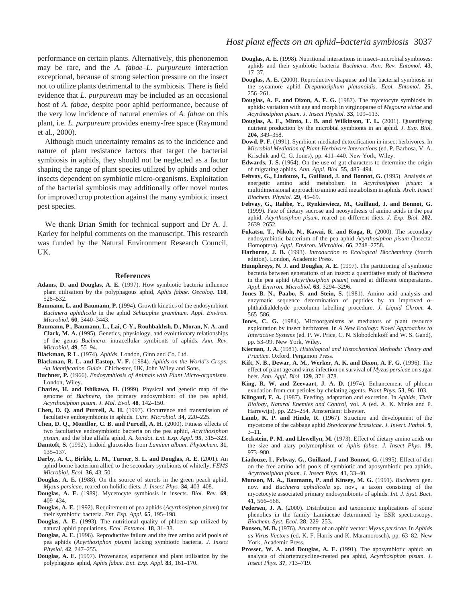performance on certain plants. Alternatively, this phenonemon may be rare, and the *A. fabae*–*L. purpureum* interaction exceptional, because of strong selection pressure on the insect not to utilize plants detrimental to the symbiosis. There is field evidence that *L. purpureum* may be included as an occasional host of *A. fabae*, despite poor aphid performance, because of the very low incidence of natural enemies of *A. fabae* on this plant, i.e. *L. purpureum* provides enemy-free space (Raymond et al., 2000).

Although much uncertainty remains as to the incidence and nature of plant resistance factors that target the bacterial symbiosis in aphids, they should not be neglected as a factor shaping the range of plant species utilized by aphids and other insects dependent on symbiotic micro-organisms. Exploitation of the bacterial symbiosis may additionally offer novel routes for improved crop protection against the many symbiotic insect pest species.

We thank Brian Smith for technical support and Dr A. J. Karley for helpful comments on the manuscript. This research was funded by the Natural Environment Research Council, UK.

#### **References**

- **Adams, D. and Douglas, A. E.** (1997). How symbiotic bacteria influence plant utilisation by the polyphagous aphid, *Aphis fabae*. *Oecolog.* **110**, 528–532.
- **Baumann, L. and Baumann, P.** (1994). Growth kinetics of the endosymbiont *Buchnera aphidicola* in the aphid *Schizaphis graminum. Appl. Environ. Microbiol.* **60**, 3440–3443.
- **Baumann, P., Baumann, L., Lai, C-Y., Rouhbakhsh, D., Moran, N. A. and Clark, M. A.** (1995). Genetics, physiology, and evolutionary relationships of the genus *Buchnera*: intracellular symbionts of aphids. *Ann. Rev. Microbiol.* **49**, 55–94.
- **Blackman, R L.** (1974). *Aphids*. London, Ginn and Co. Ltd.
- **Blackman, R. L. and Eastop, V. F.** (1984). *Aphids on the World's Crops: An Identification Guide*. Chichester, UK, John Wiley and Sons.
- **Buchner, P.** (1966). *Endosymbiosis of Animals with Plant Micro-organisms*. London, Wiley.
- **Charles, H. and Ishikawa, H.** (1999). Physical and genetic map of the genome of *Buchnera*, the primary endosymbiont of the pea aphid, *Acyrthosiphon pisum*. *J. Mol. Evol.* **48**, 142–150.
- **Chen, D. Q. and Purcell, A. H.** (1997). Occurrence and transmission of facultative endosymbionts in aphids. *Curr. Microbiol.* **34,** 220–225.
- **Chen, D. Q., Montllor, C. B. and Purcell, A. H.** (2000). Fitness effects of two facultative endosymbiotic bacteria on the pea aphid, *Acyrthosiphon pisum*, and the blue alfalfa aphid, *A. kondoi. Ent. Exp. Appl.* **95**, 315–323.
- **Damtoft, S.** (1992). Iridoid glucosides from *Lamium album*. *Phytochem.* **31**, 135–137.
- **Darby, A. C., Birkle, L. M., Turner, S. L. and Douglas, A. E.** (2001). An aphid-borne bacterium allied to the secondary symbionts of whitefly. *FEMS Microbiol. Ecol.* **36**, 43–50.
- **Douglas, A. E.** (1988). On the source of sterols in the green peach aphid, *Myzus persicae*, reared on holidic diets. *J. Insect Phys.* **34**, 403–408.
- **Douglas, A. E.** (1989). Mycetocyte symbiosis in insects. *Biol. Rev.* **69**, 409–434.
- **Douglas, A. E.** (1992). Requirement of pea aphids (*Acyrthosiphon pisum*) for their symbiotic bacteria. *Ent. Exp. Appl.* **65**, 195–198.
- **Douglas, A. E.** (1993). The nutritional quality of phloem sap utilized by natural aphid populations. *Ecol. Entomol.* **18**, 31–38.
- **Douglas, A. E.** (1996). Reproductive failure and the free amino acid pools of pea aphids (*Acyrthosiphon pisum*) lacking symbiotic bacteria. *J. Insect Physiol.* **42**, 247–255.
- **Douglas, A. E.** (1997). Provenance, experience and plant utilisation by the polyphagous aphid, *Aphis fabae*. *Ent. Exp. Appl.* **83**, 161–170.
- **Douglas, A. E.** (1998). Nutritional interactions in insect–microbial symbioses: aphids and their symbiotic bacteria *Buchnera*. *Ann. Rev. Entomol.* **43**, 17–37.
- **Douglas, A. E.** (2000). Reproductive diapause and the bacterial symbiosis in the sycamore aphid *Drepanosiphum platanoidis*. *Ecol. Entomol.* **25**, 256–261.
- **Douglas, A. E. and Dixon, A. F. G.** (1987). The mycetocyte symbiosis in aphids: variation with age and morph in virginoparae of *Megoura viciae* and *Acyrthosiphon pisum*. *J. Insect Physiol.* **33**, 109–113.
- **Douglas, A. E., Minto, L. B. and Wilkinson, T. L.** (2001). Quantifying nutrient production by the microbial symbionts in an aphid. *J. Exp. Biol.* **204**, 349–358.
- **Dowd, P. F.** (1991). Symbiont-mediated detoxification in insect herbivores. In *Microbial Mediation of Plant-Herbivore Interactions* (ed. P. Barbosa, V. A. Krischik and C. G. Jones), pp. 411–440. New York, Wiley.
- **Edwards, J. S.** (1964). On the use of gut characters to determine the origin of migrating aphids. *Ann. Appl. Biol.* **55**, 485–494.
- Febvay, G., Liadouze, I., Guillaud, J. and Bonnot, G. (1995). Analysis of energetic amino acid metabolism in *Acyrthosiphon pisum*: a multidimensional approach to amino acid metabolism in aphids. *Arch. Insect Biochem. Physiol.* **29**, 45–69.
- **Febvay, G., Rahbe, Y., Rynkiewiecz, M., Guillaud, J. and Bonnot, G.** (1999). Fate of dietary sucrose and neosynthesis of amino acids in the pea aphid, *Acyrthosiphon pisum*, reared on different diets. *J. Exp. Biol.* **202**, 2639–2652.
- Fukatsu, T., Nikoh, N., Kawai, R. and Koga, R. (2000). The secondary endosymbiotic bacterium of the pea aphid *Acyrthosiphon pisum* (Insecta: Homoptera). *Appl. Environ. Microbiol.* **66**, 2748–2758.
- **Harborne, J. B.** (1993). *Introduction to Ecological Biochemistry* (fourth edition). London, Academic Press.
- **Humphreys, N. J. and Douglas, A. E.** (1997). The partitioning of symbiotic bacteria between generations of an insect: a quantitative study of *Buchnera* in the pea aphid (*Acyrthosiphon pisum*) reared at different temperatures. *Appl. Environ. Microbiol.* **63**, 3294–3296.
- Jones B. N., Paabo, S. and Stein, S. (1981). Amino acid analysis and enzymatic sequence determination of peptides by an improved *o*phthaldialdehyde precolumn labelling procedure. *J. Liquid Chrom.* **4**, 565–586.
- Jones, C. G. (1984). Microorganisms as mediators of plant resource exploitation by insect herbivores. In *A New Ecology: Novel Approaches to Interactive Systems* (ed. P. W. Price, C. N. Slobodchikoff and W. S. Gand), pp. 53–99. New York, Wiley.
- **Kiernan, J. A.** (1981). *Histological and Histochemical Methods: Theory and Practice*. Oxford, Pergamon Press.
- **Kift, N. B., Dewar, A. M., Werker, A. K. and Dixon, A. F. G.** (1996). The effect of plant age and virus infection on survival of *Myzus persicae* on sugar beet. *Ann. Appl. Biol.* **129**, 371–378.
- **King, R. W. and Zeevaart, J. A. D.** (1974). Enhancement of phloem exudation from cut petioles by chelating agents. *Plant Phys.* **53**, 96–103.
- **Klingauf, F. A.** (1987). Feeding, adaptation and excretion. In *Aphids, Their Biology, Natural Enemies and Control*, vol. A (ed. A. K. Minks and P. Harrewijn), pp. 225–254. Amsterdam: Elsevier.
- Lamb, K. P. and Hinde, R. (1967). Structure and development of the mycetome of the cabbage aphid *Brevicoryne brassicae*. *J. Invert. Pathol.* **9**,  $3 - 11$ .
- **Leckstein, P. M. and Llewellyn, M.** (1973). Effect of dietary amino acids on the size and alary polymorphism of *Aphis fabae*. *J. Insect Phys.* **19**, 973–980.
- Liadouze, I., Febvay, G., Guillaud, J and Bonnot, G. (1995). Effect of diet on the free amino acid pools of symbiotic and aposymbiotic pea aphids, *Acyrthosiphon pisum*. *J. Insect Phys.* **41**, 33–40.
- **Munson, M. A., Baumann, P. and Kinsey, M. G.** (1991). *Buchnera* gen. nov. and *Buchnera aphidicola* sp. nov., a taxon consisting of the mycetocyte associated primary endosymbionts of aphids. *Int. J. Syst. Bact.* **41**, 566–568.
- Pedersen, J. A. (2000). Distribution and taxonomic implications of some phenolics in the family Lamiaceae determined by ESR spectroscopy. *Biochem. Syst. Ecol.* **28**, 229–253.
- **Ponsen, M. B.** (1976). Anatomy of an aphid vector: *Myzus persicae*. In *Aphids as Virus Vectors* (ed. K. F. Harris and K. Maramorosch), pp. 63–82. New York, Academic Press.
- Prosser, W. A. and Douglas, A. E. (1991). The aposymbiotic aphid: an analysis of chlortetracycline-treated pea aphid, *Acyrthosiphon pisum*. *J. Insect Phys.* **37**, 713–719.